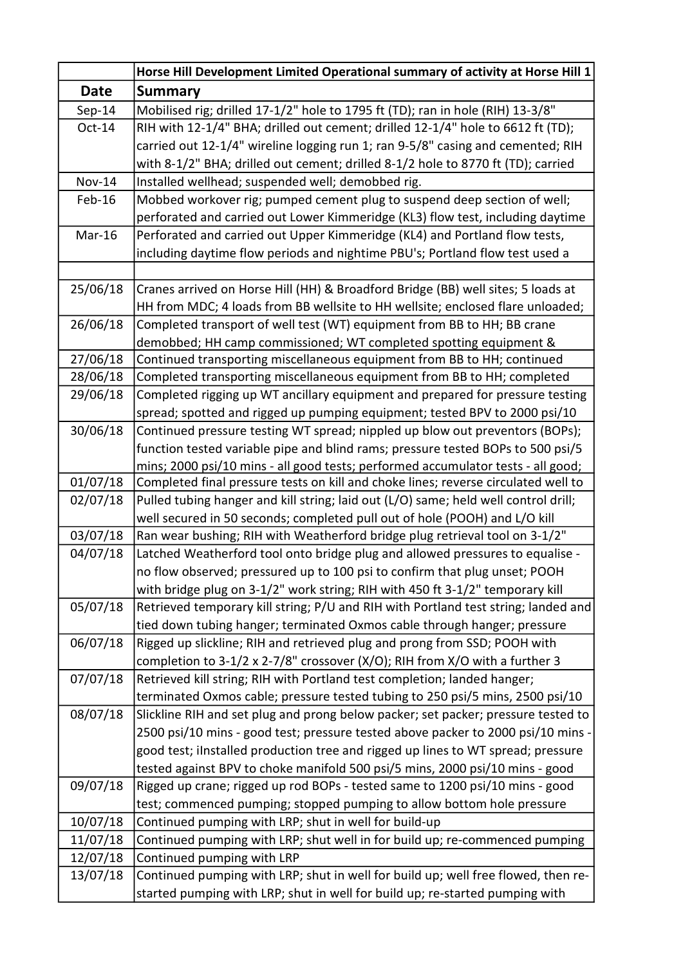|                      | Horse Hill Development Limited Operational summary of activity at Horse Hill 1                                                                                    |
|----------------------|-------------------------------------------------------------------------------------------------------------------------------------------------------------------|
| <b>Date</b>          | <b>Summary</b>                                                                                                                                                    |
| $Sep-14$             | Mobilised rig; drilled 17-1/2" hole to 1795 ft (TD); ran in hole (RIH) 13-3/8"                                                                                    |
| $Oct-14$             | RIH with 12-1/4" BHA; drilled out cement; drilled 12-1/4" hole to 6612 ft (TD);                                                                                   |
|                      | carried out 12-1/4" wireline logging run 1; ran 9-5/8" casing and cemented; RIH                                                                                   |
|                      | with 8-1/2" BHA; drilled out cement; drilled 8-1/2 hole to 8770 ft (TD); carried                                                                                  |
| <b>Nov-14</b>        | Installed wellhead; suspended well; demobbed rig.                                                                                                                 |
| Feb-16               | Mobbed workover rig; pumped cement plug to suspend deep section of well;                                                                                          |
|                      | perforated and carried out Lower Kimmeridge (KL3) flow test, including daytime                                                                                    |
| Mar-16               | Perforated and carried out Upper Kimmeridge (KL4) and Portland flow tests,                                                                                        |
|                      | including daytime flow periods and nightime PBU's; Portland flow test used a                                                                                      |
|                      |                                                                                                                                                                   |
| 25/06/18             | Cranes arrived on Horse Hill (HH) & Broadford Bridge (BB) well sites; 5 loads at                                                                                  |
|                      | HH from MDC; 4 loads from BB wellsite to HH wellsite; enclosed flare unloaded;                                                                                    |
| 26/06/18             | Completed transport of well test (WT) equipment from BB to HH; BB crane                                                                                           |
|                      | demobbed; HH camp commissioned; WT completed spotting equipment &                                                                                                 |
| 27/06/18             | Continued transporting miscellaneous equipment from BB to HH; continued                                                                                           |
| 28/06/18             | Completed transporting miscellaneous equipment from BB to HH; completed                                                                                           |
| 29/06/18             | Completed rigging up WT ancillary equipment and prepared for pressure testing                                                                                     |
|                      | spread; spotted and rigged up pumping equipment; tested BPV to 2000 psi/10                                                                                        |
| 30/06/18             | Continued pressure testing WT spread; nippled up blow out preventors (BOPs);                                                                                      |
|                      | function tested variable pipe and blind rams; pressure tested BOPs to 500 psi/5                                                                                   |
|                      | mins; 2000 psi/10 mins - all good tests; performed accumulator tests - all good;                                                                                  |
| 01/07/18<br>02/07/18 | Completed final pressure tests on kill and choke lines; reverse circulated well to                                                                                |
|                      | Pulled tubing hanger and kill string; laid out (L/O) same; held well control drill;<br>well secured in 50 seconds; completed pull out of hole (POOH) and L/O kill |
| 03/07/18             | Ran wear bushing; RIH with Weatherford bridge plug retrieval tool on 3-1/2"                                                                                       |
| 04/07/18             | Latched Weatherford tool onto bridge plug and allowed pressures to equalise -                                                                                     |
|                      | no flow observed; pressured up to 100 psi to confirm that plug unset; POOH                                                                                        |
|                      | with bridge plug on 3-1/2" work string; RIH with 450 ft 3-1/2" temporary kill                                                                                     |
| 05/07/18             | Retrieved temporary kill string; P/U and RIH with Portland test string; landed and                                                                                |
|                      | tied down tubing hanger; terminated Oxmos cable through hanger; pressure                                                                                          |
| 06/07/18             | Rigged up slickline; RIH and retrieved plug and prong from SSD; POOH with                                                                                         |
|                      | completion to 3-1/2 x 2-7/8" crossover (X/O); RIH from X/O with a further 3                                                                                       |
| 07/07/18             | Retrieved kill string; RIH with Portland test completion; landed hanger;                                                                                          |
|                      | terminated Oxmos cable; pressure tested tubing to 250 psi/5 mins, 2500 psi/10                                                                                     |
| 08/07/18             | Slickline RIH and set plug and prong below packer; set packer; pressure tested to                                                                                 |
|                      | 2500 psi/10 mins - good test; pressure tested above packer to 2000 psi/10 mins -                                                                                  |
|                      | good test; ilnstalled production tree and rigged up lines to WT spread; pressure                                                                                  |
|                      | tested against BPV to choke manifold 500 psi/5 mins, 2000 psi/10 mins - good                                                                                      |
| 09/07/18             | Rigged up crane; rigged up rod BOPs - tested same to 1200 psi/10 mins - good                                                                                      |
|                      | test; commenced pumping; stopped pumping to allow bottom hole pressure                                                                                            |
| 10/07/18             | Continued pumping with LRP; shut in well for build-up                                                                                                             |
| 11/07/18             | Continued pumping with LRP; shut well in for build up; re-commenced pumping                                                                                       |
| 12/07/18             | Continued pumping with LRP                                                                                                                                        |
| 13/07/18             | Continued pumping with LRP; shut in well for build up; well free flowed, then re-                                                                                 |
|                      | started pumping with LRP; shut in well for build up; re-started pumping with                                                                                      |